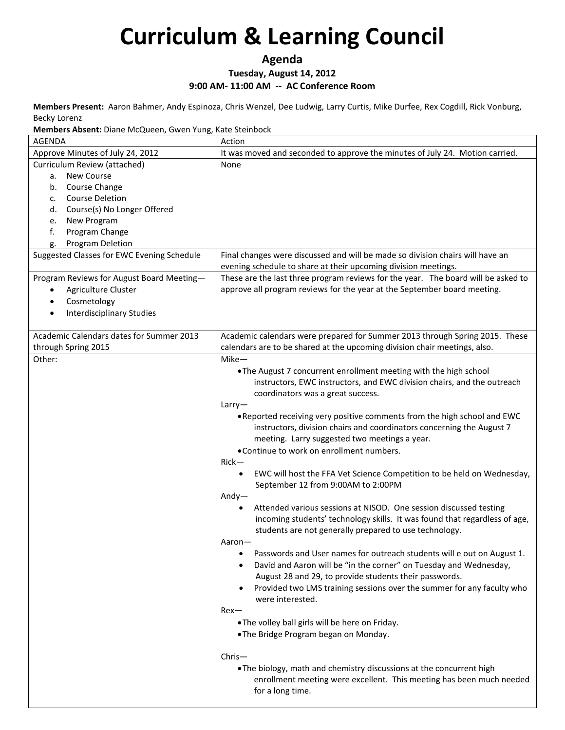**Agenda**

#### **Tuesday, August 14, 2012**

**9:00 AM- 11:00 AM -- AC Conference Room**

**Members Present:** Aaron Bahmer, Andy Espinoza, Chris Wenzel, Dee Ludwig, Larry Curtis, Mike Durfee, Rex Cogdill, Rick Vonburg, Becky Lorenz

**Members Absent:** Diane McQueen, Gwen Yung, Kate Steinbock

| <b>AGENDA</b>                                       | Action                                                                                                                                          |
|-----------------------------------------------------|-------------------------------------------------------------------------------------------------------------------------------------------------|
| Approve Minutes of July 24, 2012                    | It was moved and seconded to approve the minutes of July 24. Motion carried.                                                                    |
| Curriculum Review (attached)                        | None                                                                                                                                            |
| a. New Course                                       |                                                                                                                                                 |
| Course Change<br>b.<br><b>Course Deletion</b><br>c. |                                                                                                                                                 |
| Course(s) No Longer Offered<br>d.                   |                                                                                                                                                 |
| New Program<br>e.                                   |                                                                                                                                                 |
| f.<br>Program Change                                |                                                                                                                                                 |
| <b>Program Deletion</b><br>g.                       |                                                                                                                                                 |
| Suggested Classes for EWC Evening Schedule          | Final changes were discussed and will be made so division chairs will have an<br>evening schedule to share at their upcoming division meetings. |
| Program Reviews for August Board Meeting-           | These are the last three program reviews for the year. The board will be asked to                                                               |
| Agriculture Cluster<br>$\bullet$                    | approve all program reviews for the year at the September board meeting.                                                                        |
| Cosmetology<br>$\bullet$                            |                                                                                                                                                 |
| <b>Interdisciplinary Studies</b><br>$\bullet$       |                                                                                                                                                 |
|                                                     |                                                                                                                                                 |
| Academic Calendars dates for Summer 2013            | Academic calendars were prepared for Summer 2013 through Spring 2015. These                                                                     |
| through Spring 2015                                 | calendars are to be shared at the upcoming division chair meetings, also.                                                                       |
| Other:                                              | $Mike-$                                                                                                                                         |
|                                                     | . The August 7 concurrent enrollment meeting with the high school                                                                               |
|                                                     | instructors, EWC instructors, and EWC division chairs, and the outreach                                                                         |
|                                                     | coordinators was a great success.                                                                                                               |
|                                                     | Larry                                                                                                                                           |
|                                                     | . Reported receiving very positive comments from the high school and EWC                                                                        |
|                                                     | instructors, division chairs and coordinators concerning the August 7                                                                           |
|                                                     | meeting. Larry suggested two meetings a year.<br>• Continue to work on enrollment numbers.                                                      |
|                                                     | $Rick-$                                                                                                                                         |
|                                                     | EWC will host the FFA Vet Science Competition to be held on Wednesday,<br>$\bullet$                                                             |
|                                                     | September 12 from 9:00AM to 2:00PM                                                                                                              |
|                                                     | $Andy-$                                                                                                                                         |
|                                                     | Attended various sessions at NISOD. One session discussed testing                                                                               |
|                                                     | incoming students' technology skills. It was found that regardless of age,                                                                      |
|                                                     | students are not generally prepared to use technology.                                                                                          |
|                                                     | Aaron-                                                                                                                                          |
|                                                     | Passwords and User names for outreach students will e out on August 1.                                                                          |
|                                                     | David and Aaron will be "in the corner" on Tuesday and Wednesday,<br>August 28 and 29, to provide students their passwords.                     |
|                                                     | Provided two LMS training sessions over the summer for any faculty who                                                                          |
|                                                     | were interested.                                                                                                                                |
|                                                     | Rex—                                                                                                                                            |
|                                                     | .The volley ball girls will be here on Friday.                                                                                                  |
|                                                     | .The Bridge Program began on Monday.                                                                                                            |
|                                                     |                                                                                                                                                 |
|                                                     | $Christ-$                                                                                                                                       |
|                                                     | . The biology, math and chemistry discussions at the concurrent high                                                                            |
|                                                     | enrollment meeting were excellent. This meeting has been much needed                                                                            |
|                                                     | for a long time.                                                                                                                                |
|                                                     |                                                                                                                                                 |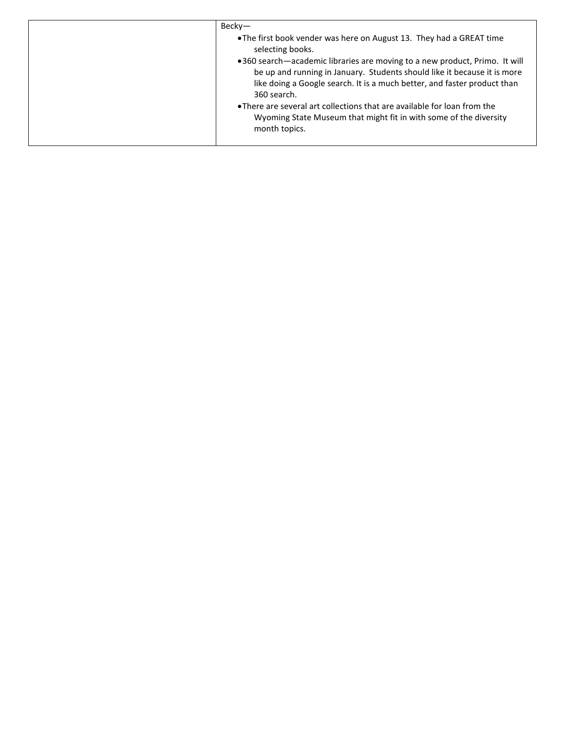| Becky-                                                                                                                                                                                                                                            |
|---------------------------------------------------------------------------------------------------------------------------------------------------------------------------------------------------------------------------------------------------|
| • The first book vender was here on August 13. They had a GREAT time<br>selecting books.                                                                                                                                                          |
| •360 search—academic libraries are moving to a new product, Primo. It will<br>be up and running in January. Students should like it because it is more<br>like doing a Google search. It is a much better, and faster product than<br>360 search. |
| • There are several art collections that are available for loan from the<br>Wyoming State Museum that might fit in with some of the diversity<br>month topics.                                                                                    |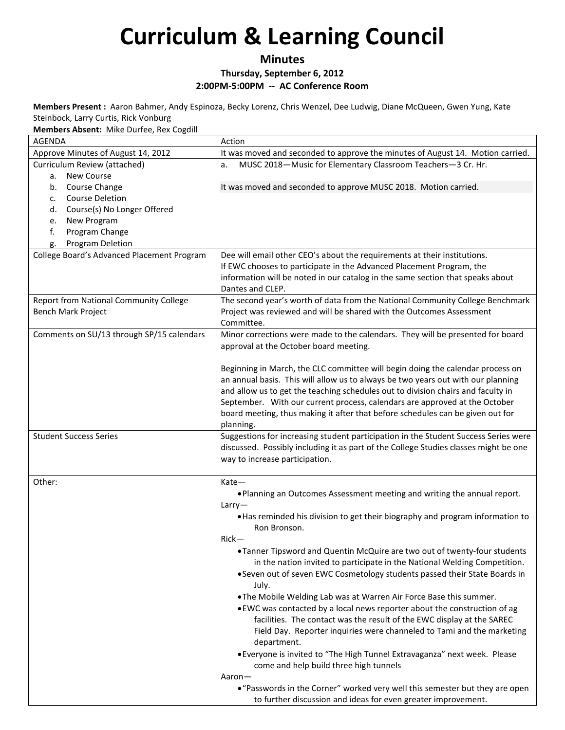### **Minutes Thursday, September 6, 2012 2:00PM-5:00PM -- AC Conference Room**

**Members Present :** Aaron Bahmer, Andy Espinoza, Becky Lorenz, Chris Wenzel, Dee Ludwig, Diane McQueen, Gwen Yung, Kate Steinbock, Larry Curtis, Rick Vonburg

**Members Absent:** Mike Durfee, Rex Cogdill

| AGENDA                                     | Action                                                                                                                                        |
|--------------------------------------------|-----------------------------------------------------------------------------------------------------------------------------------------------|
| Approve Minutes of August 14, 2012         | It was moved and seconded to approve the minutes of August 14. Motion carried.                                                                |
| Curriculum Review (attached)               | MUSC 2018-Music for Elementary Classroom Teachers-3 Cr. Hr.<br>a.                                                                             |
| <b>New Course</b><br>а.                    |                                                                                                                                               |
| Course Change<br>b.                        | It was moved and seconded to approve MUSC 2018. Motion carried.                                                                               |
| <b>Course Deletion</b><br>c.               |                                                                                                                                               |
| Course(s) No Longer Offered<br>d.          |                                                                                                                                               |
| New Program<br>e.                          |                                                                                                                                               |
| f.<br>Program Change                       |                                                                                                                                               |
| Program Deletion<br>g.                     |                                                                                                                                               |
| College Board's Advanced Placement Program | Dee will email other CEO's about the requirements at their institutions.                                                                      |
|                                            | If EWC chooses to participate in the Advanced Placement Program, the                                                                          |
|                                            | information will be noted in our catalog in the same section that speaks about                                                                |
|                                            | Dantes and CLEP.                                                                                                                              |
| Report from National Community College     | The second year's worth of data from the National Community College Benchmark                                                                 |
| Bench Mark Project                         | Project was reviewed and will be shared with the Outcomes Assessment                                                                          |
|                                            | Committee.                                                                                                                                    |
| Comments on SU/13 through SP/15 calendars  | Minor corrections were made to the calendars. They will be presented for board                                                                |
|                                            | approval at the October board meeting.                                                                                                        |
|                                            |                                                                                                                                               |
|                                            | Beginning in March, the CLC committee will begin doing the calendar process on                                                                |
|                                            | an annual basis. This will allow us to always be two years out with our planning                                                              |
|                                            | and allow us to get the teaching schedules out to division chairs and faculty in                                                              |
|                                            | September. With our current process, calendars are approved at the October                                                                    |
|                                            | board meeting, thus making it after that before schedules can be given out for                                                                |
|                                            | planning.                                                                                                                                     |
| <b>Student Success Series</b>              | Suggestions for increasing student participation in the Student Success Series were                                                           |
|                                            | discussed. Possibly including it as part of the College Studies classes might be one                                                          |
|                                            | way to increase participation.                                                                                                                |
|                                            |                                                                                                                                               |
| Other:                                     | Kate-                                                                                                                                         |
|                                            | . Planning an Outcomes Assessment meeting and writing the annual report.                                                                      |
|                                            | Larry                                                                                                                                         |
|                                            | . Has reminded his division to get their biography and program information to                                                                 |
|                                            | Ron Bronson.                                                                                                                                  |
|                                            | $Rick-$                                                                                                                                       |
|                                            | • Tanner Tipsword and Quentin McQuire are two out of twenty-four students                                                                     |
|                                            | in the nation invited to participate in the National Welding Competition.                                                                     |
|                                            | • Seven out of seven EWC Cosmetology students passed their State Boards in                                                                    |
|                                            | July.                                                                                                                                         |
|                                            | .The Mobile Welding Lab was at Warren Air Force Base this summer.                                                                             |
|                                            | . EWC was contacted by a local news reporter about the construction of ag                                                                     |
|                                            | facilities. The contact was the result of the EWC display at the SAREC                                                                        |
|                                            | Field Day. Reporter inquiries were channeled to Tami and the marketing                                                                        |
|                                            | department.                                                                                                                                   |
|                                            | • Everyone is invited to "The High Tunnel Extravaganza" next week. Please                                                                     |
|                                            | come and help build three high tunnels                                                                                                        |
|                                            | Aaron-                                                                                                                                        |
|                                            | • "Passwords in the Corner" worked very well this semester but they are open<br>to further discussion and ideas for even greater improvement. |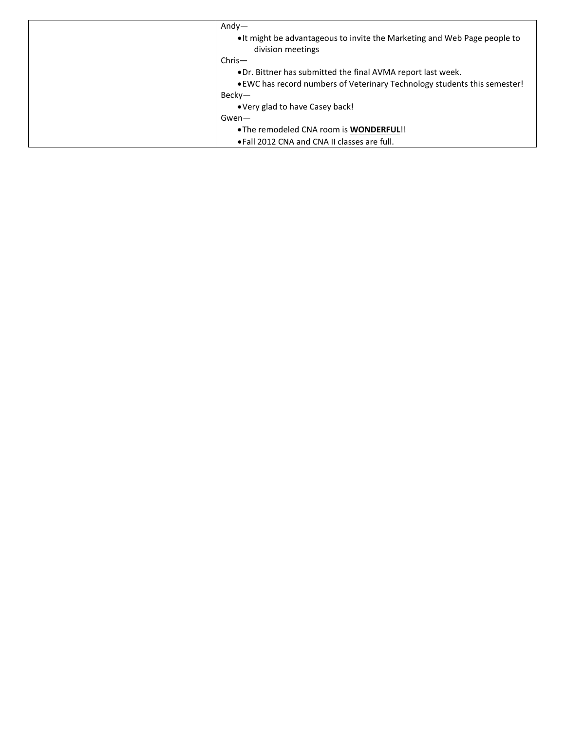| $Andy-$                                                                                        |
|------------------------------------------------------------------------------------------------|
| • It might be advantageous to invite the Marketing and Web Page people to<br>division meetings |
| $Christ-$                                                                                      |
| • Dr. Bittner has submitted the final AVMA report last week.                                   |
| • EWC has record numbers of Veterinary Technology students this semester!                      |
| Becky—                                                                                         |
| • Very glad to have Casey back!                                                                |
| Gwen-                                                                                          |
| . The remodeled CNA room is WONDERFUL!!                                                        |
| • Fall 2012 CNA and CNA II classes are full.                                                   |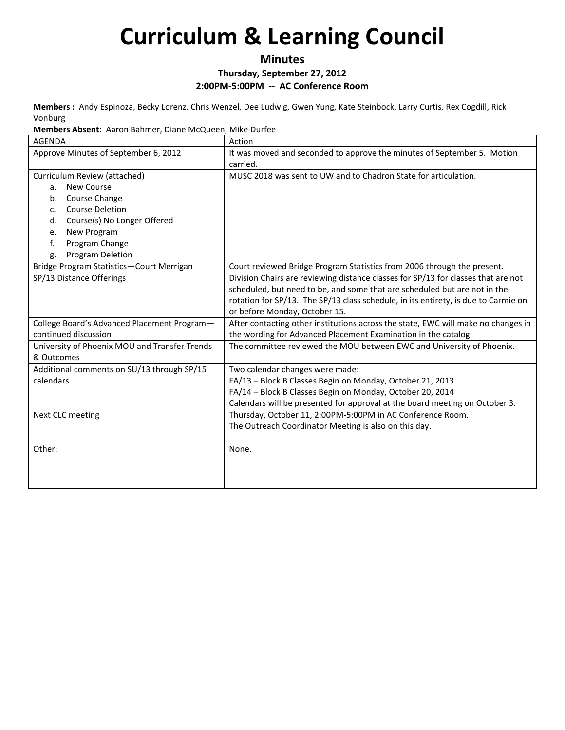**Minutes**

**Thursday, September 27, 2012**

**2:00PM-5:00PM -- AC Conference Room**

**Members :** Andy Espinoza, Becky Lorenz, Chris Wenzel, Dee Ludwig, Gwen Yung, Kate Steinbock, Larry Curtis, Rex Cogdill, Rick Vonburg

**Members Absent:** Aaron Bahmer, Diane McQueen, Mike Durfee

| <b>AGENDA</b>                                 | Action                                                                             |
|-----------------------------------------------|------------------------------------------------------------------------------------|
| Approve Minutes of September 6, 2012          | It was moved and seconded to approve the minutes of September 5. Motion            |
|                                               | carried.                                                                           |
| Curriculum Review (attached)                  | MUSC 2018 was sent to UW and to Chadron State for articulation.                    |
| <b>New Course</b><br>a.                       |                                                                                    |
| Course Change<br>b.                           |                                                                                    |
| <b>Course Deletion</b><br>$C_{\cdot}$         |                                                                                    |
| Course(s) No Longer Offered<br>d.             |                                                                                    |
| New Program<br>e.                             |                                                                                    |
| Program Change<br>f.                          |                                                                                    |
| Program Deletion<br>g.                        |                                                                                    |
| Bridge Program Statistics-Court Merrigan      | Court reviewed Bridge Program Statistics from 2006 through the present.            |
| SP/13 Distance Offerings                      | Division Chairs are reviewing distance classes for SP/13 for classes that are not  |
|                                               | scheduled, but need to be, and some that are scheduled but are not in the          |
|                                               | rotation for SP/13. The SP/13 class schedule, in its entirety, is due to Carmie on |
|                                               | or before Monday, October 15.                                                      |
| College Board's Advanced Placement Program-   | After contacting other institutions across the state, EWC will make no changes in  |
| continued discussion                          | the wording for Advanced Placement Examination in the catalog.                     |
| University of Phoenix MOU and Transfer Trends | The committee reviewed the MOU between EWC and University of Phoenix.              |
| & Outcomes                                    |                                                                                    |
| Additional comments on SU/13 through SP/15    | Two calendar changes were made:                                                    |
| calendars                                     | FA/13 - Block B Classes Begin on Monday, October 21, 2013                          |
|                                               | FA/14 - Block B Classes Begin on Monday, October 20, 2014                          |
|                                               | Calendars will be presented for approval at the board meeting on October 3.        |
| Next CLC meeting                              | Thursday, October 11, 2:00PM-5:00PM in AC Conference Room.                         |
|                                               | The Outreach Coordinator Meeting is also on this day.                              |
|                                               |                                                                                    |
| Other:                                        | None.                                                                              |
|                                               |                                                                                    |
|                                               |                                                                                    |
|                                               |                                                                                    |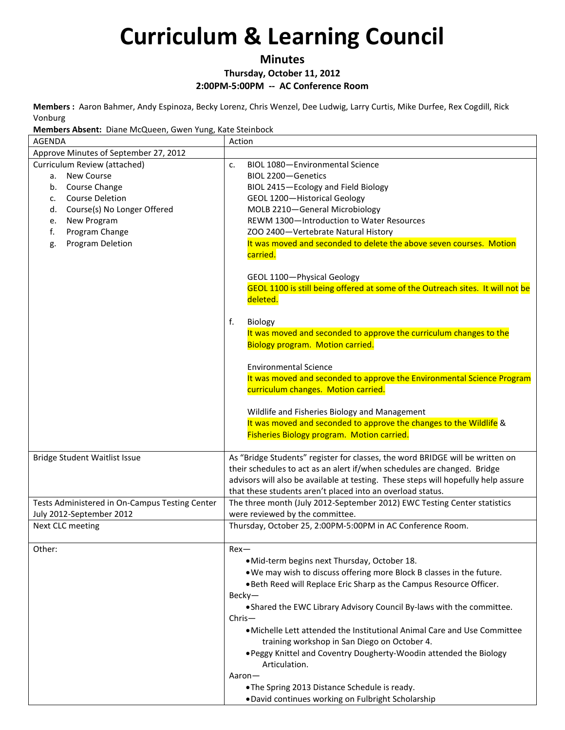### **Minutes**

### **Thursday, October 11, 2012**

**2:00PM-5:00PM -- AC Conference Room**

**Members :** Aaron Bahmer, Andy Espinoza, Becky Lorenz, Chris Wenzel, Dee Ludwig, Larry Curtis, Mike Durfee, Rex Cogdill, Rick Vonburg

**Members Absent:** Diane McQueen, Gwen Yung, Kate Steinbock

| <b>AGENDA</b>                                                                                                                                                                                                              | Action                                                                                                                                                                                                                                                                                                                                                                                                                                                                                                                                                                                                                                   |
|----------------------------------------------------------------------------------------------------------------------------------------------------------------------------------------------------------------------------|------------------------------------------------------------------------------------------------------------------------------------------------------------------------------------------------------------------------------------------------------------------------------------------------------------------------------------------------------------------------------------------------------------------------------------------------------------------------------------------------------------------------------------------------------------------------------------------------------------------------------------------|
| Approve Minutes of September 27, 2012                                                                                                                                                                                      |                                                                                                                                                                                                                                                                                                                                                                                                                                                                                                                                                                                                                                          |
| Curriculum Review (attached)<br>New Course<br>а.<br>Course Change<br>b.<br><b>Course Deletion</b><br>c.<br>Course(s) No Longer Offered<br>d.<br>New Program<br>e.<br>Program Change<br>f.<br><b>Program Deletion</b><br>g. | BIOL 1080-Environmental Science<br>c.<br>BIOL 2200-Genetics<br>BIOL 2415-Ecology and Field Biology<br>GEOL 1200-Historical Geology<br>MOLB 2210-General Microbiology<br>REWM 1300-Introduction to Water Resources<br>ZOO 2400-Vertebrate Natural History<br>It was moved and seconded to delete the above seven courses. Motion<br>carried.<br>GEOL 1100-Physical Geology<br>GEOL 1100 is still being offered at some of the Outreach sites. It will not be                                                                                                                                                                              |
|                                                                                                                                                                                                                            | deleted.<br>f.<br>Biology<br>It was moved and seconded to approve the curriculum changes to the<br><b>Biology program. Motion carried.</b><br><b>Environmental Science</b><br>It was moved and seconded to approve the Environmental Science Program<br>curriculum changes. Motion carried.<br>Wildlife and Fisheries Biology and Management<br>It was moved and seconded to approve the changes to the Wildlife &<br>Fisheries Biology program. Motion carried.                                                                                                                                                                         |
| <b>Bridge Student Waitlist Issue</b>                                                                                                                                                                                       | As "Bridge Students" register for classes, the word BRIDGE will be written on<br>their schedules to act as an alert if/when schedules are changed. Bridge<br>advisors will also be available at testing. These steps will hopefully help assure<br>that these students aren't placed into an overload status.                                                                                                                                                                                                                                                                                                                            |
| Tests Administered in On-Campus Testing Center<br>July 2012-September 2012                                                                                                                                                 | The three month (July 2012-September 2012) EWC Testing Center statistics<br>were reviewed by the committee.                                                                                                                                                                                                                                                                                                                                                                                                                                                                                                                              |
| Next CLC meeting                                                                                                                                                                                                           | Thursday, October 25, 2:00PM-5:00PM in AC Conference Room.                                                                                                                                                                                                                                                                                                                                                                                                                                                                                                                                                                               |
| Other:                                                                                                                                                                                                                     | Rex-<br>.Mid-term begins next Thursday, October 18.<br>. We may wish to discuss offering more Block B classes in the future.<br>. Beth Reed will Replace Eric Sharp as the Campus Resource Officer.<br>$Becky-$<br>. Shared the EWC Library Advisory Council By-laws with the committee.<br>$Christ-$<br>• Michelle Lett attended the Institutional Animal Care and Use Committee<br>training workshop in San Diego on October 4.<br>. Peggy Knittel and Coventry Dougherty-Woodin attended the Biology<br>Articulation.<br>Aaron-<br>.The Spring 2013 Distance Schedule is ready.<br>. David continues working on Fulbright Scholarship |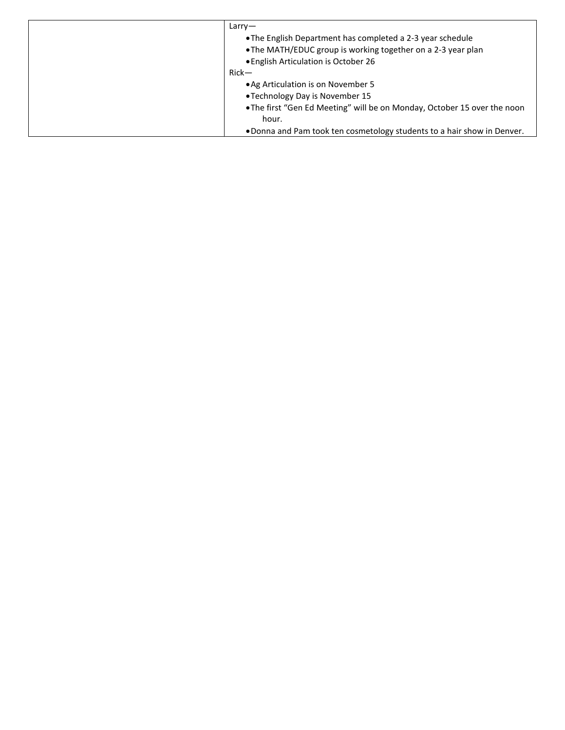| Larrow                                                                   |
|--------------------------------------------------------------------------|
| • The English Department has completed a 2-3 year schedule               |
| • The MATH/EDUC group is working together on a 2-3 year plan             |
| • English Articulation is October 26                                     |
| $Rick-$                                                                  |
| • Ag Articulation is on November 5                                       |
| •Technology Day is November 15                                           |
| . The first "Gen Ed Meeting" will be on Monday, October 15 over the noon |
| hour.                                                                    |
| . Donna and Pam took ten cosmetology students to a hair show in Denver.  |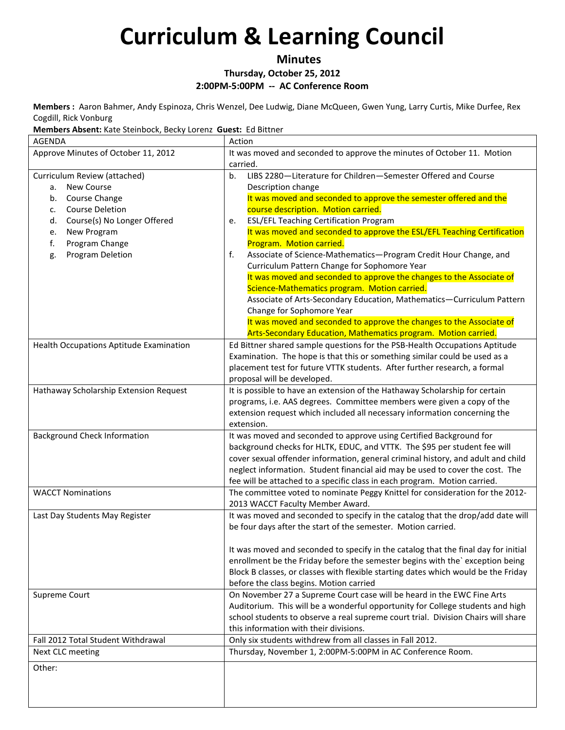**Minutes**

**Thursday, October 25, 2012**

**2:00PM-5:00PM -- AC Conference Room**

**Members :** Aaron Bahmer, Andy Espinoza, Chris Wenzel, Dee Ludwig, Diane McQueen, Gwen Yung, Larry Curtis, Mike Durfee, Rex Cogdill, Rick Vonburg

**Members Absent:** Kate Steinbock, Becky Lorenz **Guest:** Ed Bittner

| <b>AGENDA</b>                           | Action                                                                                                                 |
|-----------------------------------------|------------------------------------------------------------------------------------------------------------------------|
| Approve Minutes of October 11, 2012     | It was moved and seconded to approve the minutes of October 11. Motion                                                 |
|                                         | carried.                                                                                                               |
| Curriculum Review (attached)            | LIBS 2280-Literature for Children-Semester Offered and Course<br>b <sub>1</sub>                                        |
| New Course<br>а.                        | Description change                                                                                                     |
| Course Change<br>b.                     | It was moved and seconded to approve the semester offered and the                                                      |
| <b>Course Deletion</b><br>c.            | course description. Motion carried.                                                                                    |
| Course(s) No Longer Offered<br>d.       | <b>ESL/EFL Teaching Certification Program</b><br>e.                                                                    |
| New Program<br>e.                       | It was moved and seconded to approve the ESL/EFL Teaching Certification                                                |
| f.<br>Program Change                    | Program. Motion carried.                                                                                               |
| Program Deletion<br>g.                  | Associate of Science-Mathematics-Program Credit Hour Change, and<br>f.<br>Curriculum Pattern Change for Sophomore Year |
|                                         | It was moved and seconded to approve the changes to the Associate of                                                   |
|                                         | Science-Mathematics program. Motion carried.                                                                           |
|                                         | Associate of Arts-Secondary Education, Mathematics-Curriculum Pattern                                                  |
|                                         | Change for Sophomore Year                                                                                              |
|                                         | It was moved and seconded to approve the changes to the Associate of                                                   |
|                                         | Arts-Secondary Education, Mathematics program. Motion carried.                                                         |
| Health Occupations Aptitude Examination | Ed Bittner shared sample questions for the PSB-Health Occupations Aptitude                                             |
|                                         | Examination. The hope is that this or something similar could be used as a                                             |
|                                         | placement test for future VTTK students. After further research, a formal                                              |
|                                         | proposal will be developed.                                                                                            |
| Hathaway Scholarship Extension Request  | It is possible to have an extension of the Hathaway Scholarship for certain                                            |
|                                         | programs, i.e. AAS degrees. Committee members were given a copy of the                                                 |
|                                         | extension request which included all necessary information concerning the                                              |
|                                         | extension.                                                                                                             |
| <b>Background Check Information</b>     | It was moved and seconded to approve using Certified Background for                                                    |
|                                         | background checks for HLTK, EDUC, and VTTK. The \$95 per student fee will                                              |
|                                         | cover sexual offender information, general criminal history, and adult and child                                       |
|                                         | neglect information. Student financial aid may be used to cover the cost. The                                          |
|                                         | fee will be attached to a specific class in each program. Motion carried.                                              |
| <b>WACCT Nominations</b>                | The committee voted to nominate Peggy Knittel for consideration for the 2012-                                          |
|                                         | 2013 WACCT Faculty Member Award.                                                                                       |
| Last Day Students May Register          | It was moved and seconded to specify in the catalog that the drop/add date will                                        |
|                                         | be four days after the start of the semester. Motion carried.                                                          |
|                                         | It was moved and seconded to specify in the catalog that the final day for initial                                     |
|                                         | enrollment be the Friday before the semester begins with the' exception being                                          |
|                                         | Block B classes, or classes with flexible starting dates which would be the Friday                                     |
|                                         | before the class begins. Motion carried                                                                                |
| Supreme Court                           | On November 27 a Supreme Court case will be heard in the EWC Fine Arts                                                 |
|                                         | Auditorium. This will be a wonderful opportunity for College students and high                                         |
|                                         | school students to observe a real supreme court trial. Division Chairs will share                                      |
|                                         | this information with their divisions.                                                                                 |
| Fall 2012 Total Student Withdrawal      | Only six students withdrew from all classes in Fall 2012.                                                              |
| Next CLC meeting                        | Thursday, November 1, 2:00PM-5:00PM in AC Conference Room.                                                             |
| Other:                                  |                                                                                                                        |
|                                         |                                                                                                                        |
|                                         |                                                                                                                        |
|                                         |                                                                                                                        |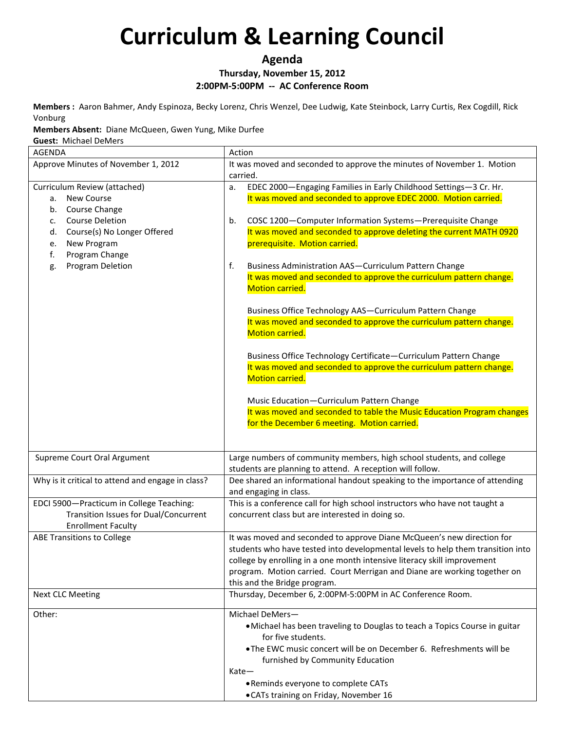**Agenda**

**Thursday, November 15, 2012**

**2:00PM-5:00PM -- AC Conference Room**

**Members :** Aaron Bahmer, Andy Espinoza, Becky Lorenz, Chris Wenzel, Dee Ludwig, Kate Steinbock, Larry Curtis, Rex Cogdill, Rick Vonburg

**Members Absent:** Diane McQueen, Gwen Yung, Mike Durfee

**Guest:** Michael DeMers

| AGENDA                                                                                                                                                                                                                     | Action                                                                                                                                                                                                                                                                                                                                                                                                                                                                                 |
|----------------------------------------------------------------------------------------------------------------------------------------------------------------------------------------------------------------------------|----------------------------------------------------------------------------------------------------------------------------------------------------------------------------------------------------------------------------------------------------------------------------------------------------------------------------------------------------------------------------------------------------------------------------------------------------------------------------------------|
| Approve Minutes of November 1, 2012                                                                                                                                                                                        | It was moved and seconded to approve the minutes of November 1. Motion<br>carried.                                                                                                                                                                                                                                                                                                                                                                                                     |
| Curriculum Review (attached)<br><b>New Course</b><br>a.<br>Course Change<br>b.<br><b>Course Deletion</b><br>c.<br>Course(s) No Longer Offered<br>d.<br>New Program<br>e.<br>Program Change<br>f.<br>Program Deletion<br>g. | EDEC 2000-Engaging Families in Early Childhood Settings-3 Cr. Hr.<br>a.<br>It was moved and seconded to approve EDEC 2000. Motion carried.<br>COSC 1200-Computer Information Systems-Prerequisite Change<br>b.<br>It was moved and seconded to approve deleting the current MATH 0920<br>prerequisite. Motion carried.<br>f.<br>Business Administration AAS-Curriculum Pattern Change<br>It was moved and seconded to approve the curriculum pattern change.<br><b>Motion carried.</b> |
|                                                                                                                                                                                                                            | Business Office Technology AAS-Curriculum Pattern Change<br>It was moved and seconded to approve the curriculum pattern change.<br><b>Motion carried.</b><br>Business Office Technology Certificate-Curriculum Pattern Change<br>It was moved and seconded to approve the curriculum pattern change.<br><b>Motion carried.</b>                                                                                                                                                         |
|                                                                                                                                                                                                                            | Music Education-Curriculum Pattern Change<br>It was moved and seconded to table the Music Education Program changes<br>for the December 6 meeting. Motion carried.                                                                                                                                                                                                                                                                                                                     |
| Supreme Court Oral Argument                                                                                                                                                                                                | Large numbers of community members, high school students, and college<br>students are planning to attend. A reception will follow.                                                                                                                                                                                                                                                                                                                                                     |
| Why is it critical to attend and engage in class?                                                                                                                                                                          | Dee shared an informational handout speaking to the importance of attending<br>and engaging in class.                                                                                                                                                                                                                                                                                                                                                                                  |
| EDCI 5900-Practicum in College Teaching:<br>Transition Issues for Dual/Concurrent<br><b>Enrollment Faculty</b>                                                                                                             | This is a conference call for high school instructors who have not taught a<br>concurrent class but are interested in doing so.                                                                                                                                                                                                                                                                                                                                                        |
| <b>ABE Transitions to College</b>                                                                                                                                                                                          | It was moved and seconded to approve Diane McQueen's new direction for<br>students who have tested into developmental levels to help them transition into<br>college by enrolling in a one month intensive literacy skill improvement<br>program. Motion carried. Court Merrigan and Diane are working together on<br>this and the Bridge program.                                                                                                                                     |
| <b>Next CLC Meeting</b>                                                                                                                                                                                                    | Thursday, December 6, 2:00PM-5:00PM in AC Conference Room.                                                                                                                                                                                                                                                                                                                                                                                                                             |
| Other:                                                                                                                                                                                                                     | Michael DeMers-<br>. Michael has been traveling to Douglas to teach a Topics Course in guitar<br>for five students.<br>. The EWC music concert will be on December 6. Refreshments will be<br>furnished by Community Education<br>$Kate-$<br>• Reminds everyone to complete CATs<br>.CATs training on Friday, November 16                                                                                                                                                              |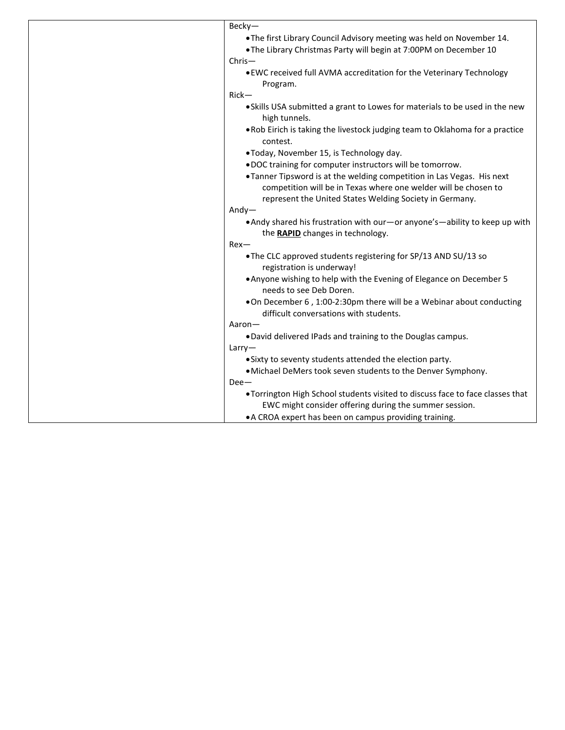| Becky-                                                                                                          |
|-----------------------------------------------------------------------------------------------------------------|
| .14. The first Library Council Advisory meeting was held on November 14.                                        |
| . The Library Christmas Party will begin at 7:00PM on December 10                                               |
| Chris-                                                                                                          |
| . EWC received full AVMA accreditation for the Veterinary Technology                                            |
| Program.                                                                                                        |
| $Rick-$                                                                                                         |
| . Skills USA submitted a grant to Lowes for materials to be used in the new<br>high tunnels.                    |
| . Rob Eirich is taking the livestock judging team to Oklahoma for a practice<br>contest.                        |
| .Today, November 15, is Technology day.                                                                         |
| .DOC training for computer instructors will be tomorrow.                                                        |
| . Tanner Tipsword is at the welding competition in Las Vegas. His next                                          |
| competition will be in Texas where one welder will be chosen to                                                 |
| represent the United States Welding Society in Germany.                                                         |
| $Andy-$                                                                                                         |
| • Andy shared his frustration with our-or anyone's-ability to keep up with<br>the RAPID changes in technology.  |
| $Rex-$                                                                                                          |
| . The CLC approved students registering for SP/13 AND SU/13 so<br>registration is underway!                     |
| . Anyone wishing to help with the Evening of Elegance on December 5                                             |
| needs to see Deb Doren.                                                                                         |
| . On December 6, 1:00-2:30pm there will be a Webinar about conducting<br>difficult conversations with students. |
| Aaron-                                                                                                          |
| .David delivered IPads and training to the Douglas campus.                                                      |
| Larry                                                                                                           |
| • Sixty to seventy students attended the election party.                                                        |
| • Michael DeMers took seven students to the Denver Symphony.                                                    |
| $Dee-$                                                                                                          |
| . Torrington High School students visited to discuss face to face classes that                                  |
| EWC might consider offering during the summer session.                                                          |
| • A CROA expert has been on campus providing training.                                                          |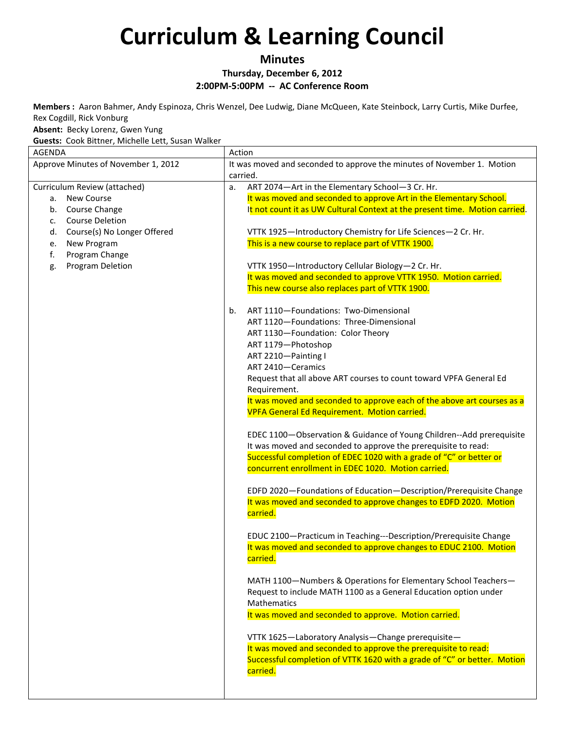**Minutes**

**Thursday, December 6, 2012**

**2:00PM-5:00PM -- AC Conference Room**

**Members :** Aaron Bahmer, Andy Espinoza, Chris Wenzel, Dee Ludwig, Diane McQueen, Kate Steinbock, Larry Curtis, Mike Durfee, Rex Cogdill, Rick Vonburg

**Absent:** Becky Lorenz, Gwen Yung

**Guests:** Cook Bittner, Michelle Lett, Susan Walker

| <b>AGENDA</b>                            | Action                                                                                                                                  |
|------------------------------------------|-----------------------------------------------------------------------------------------------------------------------------------------|
| Approve Minutes of November 1, 2012      | It was moved and seconded to approve the minutes of November 1. Motion                                                                  |
|                                          | carried.                                                                                                                                |
| Curriculum Review (attached)             | ART 2074-Art in the Elementary School-3 Cr. Hr.<br>a.                                                                                   |
| New Course<br>а.                         | It was moved and seconded to approve Art in the Elementary School.                                                                      |
| Course Change<br>b.                      | It not count it as UW Cultural Context at the present time. Motion carried.                                                             |
| <b>Course Deletion</b><br>$\mathsf{C}$ . |                                                                                                                                         |
| Course(s) No Longer Offered<br>d.        | VTTK 1925-Introductory Chemistry for Life Sciences-2 Cr. Hr.                                                                            |
| New Program<br>e.                        | This is a new course to replace part of VTTK 1900.                                                                                      |
| Program Change<br>f.                     |                                                                                                                                         |
| Program Deletion<br>g.                   | VTTK 1950-Introductory Cellular Biology-2 Cr. Hr.                                                                                       |
|                                          | It was moved and seconded to approve VTTK 1950. Motion carried.                                                                         |
|                                          | This new course also replaces part of VTTK 1900.                                                                                        |
|                                          |                                                                                                                                         |
|                                          | ART 1110-Foundations: Two-Dimensional<br>b.                                                                                             |
|                                          | ART 1120-Foundations: Three-Dimensional                                                                                                 |
|                                          | ART 1130-Foundation: Color Theory                                                                                                       |
|                                          | ART 1179-Photoshop                                                                                                                      |
|                                          | ART 2210-Painting I                                                                                                                     |
|                                          | ART 2410-Ceramics                                                                                                                       |
|                                          | Request that all above ART courses to count toward VPFA General Ed                                                                      |
|                                          | Requirement.                                                                                                                            |
|                                          | It was moved and seconded to approve each of the above art courses as a                                                                 |
|                                          | <b>VPFA General Ed Requirement. Motion carried.</b>                                                                                     |
|                                          |                                                                                                                                         |
|                                          | EDEC 1100-Observation & Guidance of Young Children--Add prerequisite                                                                    |
|                                          | It was moved and seconded to approve the prerequisite to read:                                                                          |
|                                          | Successful completion of EDEC 1020 with a grade of "C" or better or                                                                     |
|                                          | concurrent enrollment in EDEC 1020. Motion carried.                                                                                     |
|                                          |                                                                                                                                         |
|                                          | EDFD 2020-Foundations of Education-Description/Prerequisite Change<br>It was moved and seconded to approve changes to EDFD 2020. Motion |
|                                          | carried.                                                                                                                                |
|                                          |                                                                                                                                         |
|                                          | EDUC 2100-Practicum in Teaching---Description/Prerequisite Change                                                                       |
|                                          | It was moved and seconded to approve changes to EDUC 2100. Motion                                                                       |
|                                          | carried.                                                                                                                                |
|                                          |                                                                                                                                         |
|                                          | MATH 1100-Numbers & Operations for Elementary School Teachers-                                                                          |
|                                          | Request to include MATH 1100 as a General Education option under                                                                        |
|                                          | <b>Mathematics</b>                                                                                                                      |
|                                          | It was moved and seconded to approve. Motion carried.                                                                                   |
|                                          |                                                                                                                                         |
|                                          | VTTK 1625-Laboratory Analysis-Change prerequisite-                                                                                      |
|                                          | It was moved and seconded to approve the prerequisite to read:                                                                          |
|                                          | Successful completion of VTTK 1620 with a grade of "C" or better. Motion                                                                |
|                                          | carried.                                                                                                                                |
|                                          |                                                                                                                                         |
|                                          |                                                                                                                                         |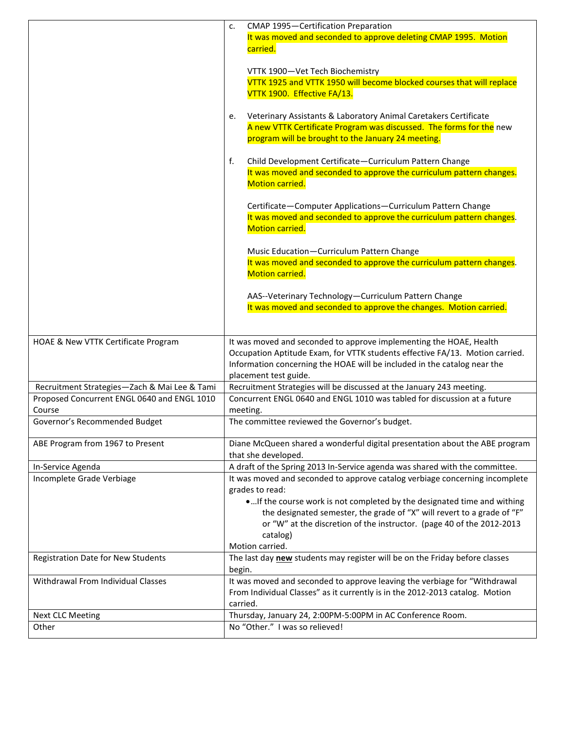|                                              | CMAP 1995-Certification Preparation<br>c.                                                |
|----------------------------------------------|------------------------------------------------------------------------------------------|
|                                              | It was moved and seconded to approve deleting CMAP 1995. Motion                          |
|                                              | carried.                                                                                 |
|                                              |                                                                                          |
|                                              | VTTK 1900-Vet Tech Biochemistry                                                          |
|                                              | VTTK 1925 and VTTK 1950 will become blocked courses that will replace                    |
|                                              | VTTK 1900. Effective FA/13.                                                              |
|                                              |                                                                                          |
|                                              | Veterinary Assistants & Laboratory Animal Caretakers Certificate<br>e.                   |
|                                              | A new VTTK Certificate Program was discussed. The forms for the new                      |
|                                              | program will be brought to the January 24 meeting.                                       |
|                                              | f.<br>Child Development Certificate-Curriculum Pattern Change                            |
|                                              | It was moved and seconded to approve the curriculum pattern changes.                     |
|                                              | <b>Motion carried.</b>                                                                   |
|                                              |                                                                                          |
|                                              | Certificate-Computer Applications-Curriculum Pattern Change                              |
|                                              | It was moved and seconded to approve the curriculum pattern changes.                     |
|                                              | <b>Motion carried.</b>                                                                   |
|                                              |                                                                                          |
|                                              | Music Education-Curriculum Pattern Change                                                |
|                                              | It was moved and seconded to approve the curriculum pattern changes.                     |
|                                              | <b>Motion carried.</b>                                                                   |
|                                              |                                                                                          |
|                                              | AAS--Veterinary Technology-Curriculum Pattern Change                                     |
|                                              | It was moved and seconded to approve the changes. Motion carried.                        |
|                                              |                                                                                          |
| HOAE & New VTTK Certificate Program          | It was moved and seconded to approve implementing the HOAE, Health                       |
|                                              | Occupation Aptitude Exam, for VTTK students effective FA/13. Motion carried.             |
|                                              | Information concerning the HOAE will be included in the catalog near the                 |
|                                              | placement test guide.                                                                    |
| Recruitment Strategies-Zach & Mai Lee & Tami | Recruitment Strategies will be discussed at the January 243 meeting.                     |
| Proposed Concurrent ENGL 0640 and ENGL 1010  | Concurrent ENGL 0640 and ENGL 1010 was tabled for discussion at a future                 |
| Course                                       | meeting.                                                                                 |
| Governor's Recommended Budget                | The committee reviewed the Governor's budget.                                            |
|                                              |                                                                                          |
| ABE Program from 1967 to Present             | Diane McQueen shared a wonderful digital presentation about the ABE program              |
|                                              | that she developed.                                                                      |
| In-Service Agenda                            | A draft of the Spring 2013 In-Service agenda was shared with the committee.              |
| Incomplete Grade Verbiage                    | It was moved and seconded to approve catalog verbiage concerning incomplete              |
|                                              | grades to read:                                                                          |
|                                              | If the course work is not completed by the designated time and withing                   |
|                                              | the designated semester, the grade of "X" will revert to a grade of "F"                  |
|                                              | or "W" at the discretion of the instructor. (page 40 of the 2012-2013                    |
|                                              | catalog)                                                                                 |
|                                              | Motion carried.                                                                          |
| <b>Registration Date for New Students</b>    | The last day new students may register will be on the Friday before classes              |
|                                              | begin.                                                                                   |
| Withdrawal From Individual Classes           | It was moved and seconded to approve leaving the verbiage for "Withdrawal                |
|                                              | From Individual Classes" as it currently is in the 2012-2013 catalog. Motion<br>carried. |
| Next CLC Meeting                             | Thursday, January 24, 2:00PM-5:00PM in AC Conference Room.                               |
| Other                                        | No "Other." I was so relieved!                                                           |
|                                              |                                                                                          |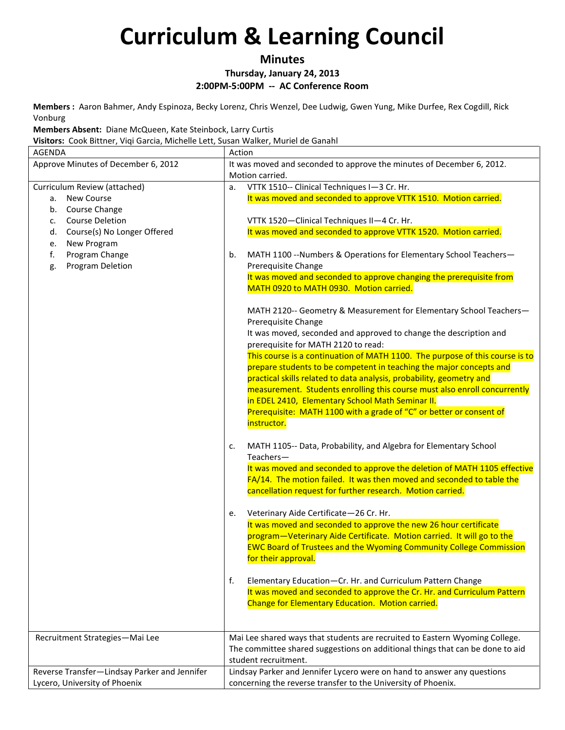**Minutes**

**Thursday, January 24, 2013**

**2:00PM-5:00PM -- AC Conference Room**

**Members :** Aaron Bahmer, Andy Espinoza, Becky Lorenz, Chris Wenzel, Dee Ludwig, Gwen Yung, Mike Durfee, Rex Cogdill, Rick Vonburg

**Members Absent:** Diane McQueen, Kate Steinbock, Larry Curtis

**Visitors:** Cook Bittner, Viqi Garcia, Michelle Lett, Susan Walker, Muriel de Ganahl

| <b>AGENDA</b>                                | Action                                                                                                   |
|----------------------------------------------|----------------------------------------------------------------------------------------------------------|
| Approve Minutes of December 6, 2012          | It was moved and seconded to approve the minutes of December 6, 2012.                                    |
|                                              | Motion carried.                                                                                          |
| Curriculum Review (attached)                 | VTTK 1510-- Clinical Techniques I-3 Cr. Hr.<br>a.                                                        |
| <b>New Course</b><br>а.                      | It was moved and seconded to approve VTTK 1510. Motion carried.                                          |
| Course Change<br>b.                          |                                                                                                          |
| <b>Course Deletion</b><br>c.                 | VTTK 1520-Clinical Techniques II-4 Cr. Hr.                                                               |
| Course(s) No Longer Offered<br>d.            | It was moved and seconded to approve VTTK 1520. Motion carried.                                          |
| New Program<br>e.                            |                                                                                                          |
| f.<br>Program Change                         | MATH 1100 -- Numbers & Operations for Elementary School Teachers-<br>b.                                  |
| Program Deletion<br>g.                       | Prerequisite Change                                                                                      |
|                                              | It was moved and seconded to approve changing the prerequisite from                                      |
|                                              | MATH 0920 to MATH 0930. Motion carried.                                                                  |
|                                              | MATH 2120-- Geometry & Measurement for Elementary School Teachers-                                       |
|                                              | Prerequisite Change                                                                                      |
|                                              | It was moved, seconded and approved to change the description and<br>prerequisite for MATH 2120 to read: |
|                                              | This course is a continuation of MATH 1100. The purpose of this course is to                             |
|                                              | prepare students to be competent in teaching the major concepts and                                      |
|                                              | practical skills related to data analysis, probability, geometry and                                     |
|                                              | measurement. Students enrolling this course must also enroll concurrently                                |
|                                              | in EDEL 2410, Elementary School Math Seminar II.                                                         |
|                                              | Prerequisite: MATH 1100 with a grade of "C" or better or consent of                                      |
|                                              | instructor.                                                                                              |
|                                              |                                                                                                          |
|                                              | MATH 1105-- Data, Probability, and Algebra for Elementary School<br>c.                                   |
|                                              | Teachers-                                                                                                |
|                                              | It was moved and seconded to approve the deletion of MATH 1105 effective                                 |
|                                              | FA/14. The motion failed. It was then moved and seconded to table the                                    |
|                                              | cancellation request for further research. Motion carried.                                               |
|                                              | Veterinary Aide Certificate-26 Cr. Hr.<br>е.                                                             |
|                                              | It was moved and seconded to approve the new 26 hour certificate                                         |
|                                              | program-Veterinary Aide Certificate. Motion carried. It will go to the                                   |
|                                              | <b>EWC Board of Trustees and the Wyoming Community College Commission</b>                                |
|                                              | for their approval.                                                                                      |
|                                              | f.<br>Elementary Education-Cr. Hr. and Curriculum Pattern Change                                         |
|                                              | It was moved and seconded to approve the Cr. Hr. and Curriculum Pattern                                  |
|                                              | Change for Elementary Education. Motion carried.                                                         |
|                                              |                                                                                                          |
|                                              |                                                                                                          |
| Recruitment Strategies-Mai Lee               | Mai Lee shared ways that students are recruited to Eastern Wyoming College.                              |
|                                              | The committee shared suggestions on additional things that can be done to aid                            |
|                                              | student recruitment.                                                                                     |
| Reverse Transfer-Lindsay Parker and Jennifer | Lindsay Parker and Jennifer Lycero were on hand to answer any questions                                  |
| Lycero, University of Phoenix                | concerning the reverse transfer to the University of Phoenix.                                            |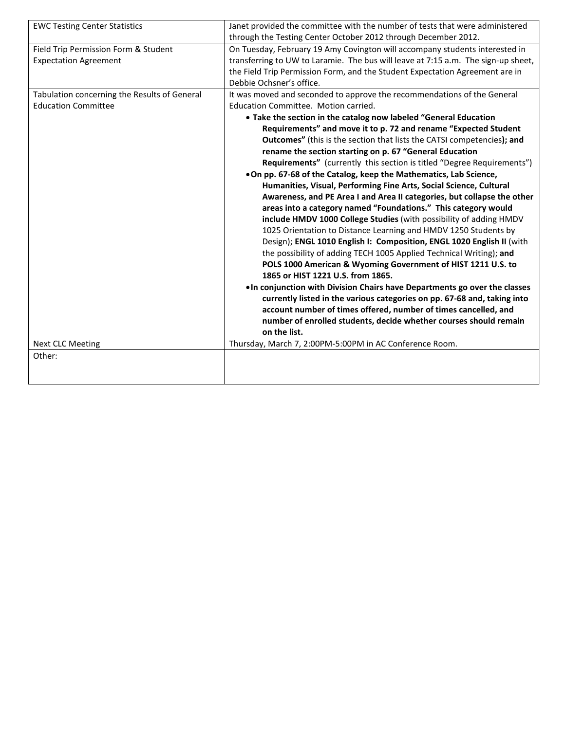| <b>EWC Testing Center Statistics</b>         | Janet provided the committee with the number of tests that were administered      |
|----------------------------------------------|-----------------------------------------------------------------------------------|
|                                              | through the Testing Center October 2012 through December 2012.                    |
| Field Trip Permission Form & Student         | On Tuesday, February 19 Amy Covington will accompany students interested in       |
| <b>Expectation Agreement</b>                 | transferring to UW to Laramie. The bus will leave at 7:15 a.m. The sign-up sheet, |
|                                              | the Field Trip Permission Form, and the Student Expectation Agreement are in      |
|                                              | Debbie Ochsner's office.                                                          |
| Tabulation concerning the Results of General | It was moved and seconded to approve the recommendations of the General           |
| <b>Education Committee</b>                   | Education Committee. Motion carried.                                              |
|                                              | • Take the section in the catalog now labeled "General Education                  |
|                                              | Requirements" and move it to p. 72 and rename "Expected Student                   |
|                                              | Outcomes" (this is the section that lists the CATSI competencies); and            |
|                                              | rename the section starting on p. 67 "General Education                           |
|                                              | Requirements" (currently this section is titled "Degree Requirements")            |
|                                              | .On pp. 67-68 of the Catalog, keep the Mathematics, Lab Science,                  |
|                                              | Humanities, Visual, Performing Fine Arts, Social Science, Cultural                |
|                                              | Awareness, and PE Area I and Area II categories, but collapse the other           |
|                                              | areas into a category named "Foundations." This category would                    |
|                                              | include HMDV 1000 College Studies (with possibility of adding HMDV                |
|                                              | 1025 Orientation to Distance Learning and HMDV 1250 Students by                   |
|                                              | Design); ENGL 1010 English I: Composition, ENGL 1020 English II (with             |
|                                              | the possibility of adding TECH 1005 Applied Technical Writing); and               |
|                                              | POLS 1000 American & Wyoming Government of HIST 1211 U.S. to                      |
|                                              | 1865 or HIST 1221 U.S. from 1865.                                                 |
|                                              | . In conjunction with Division Chairs have Departments go over the classes        |
|                                              | currently listed in the various categories on pp. 67-68 and, taking into          |
|                                              | account number of times offered, number of times cancelled, and                   |
|                                              | number of enrolled students, decide whether courses should remain                 |
|                                              | on the list.                                                                      |
| <b>Next CLC Meeting</b>                      | Thursday, March 7, 2:00PM-5:00PM in AC Conference Room.                           |
| Other:                                       |                                                                                   |
|                                              |                                                                                   |
|                                              |                                                                                   |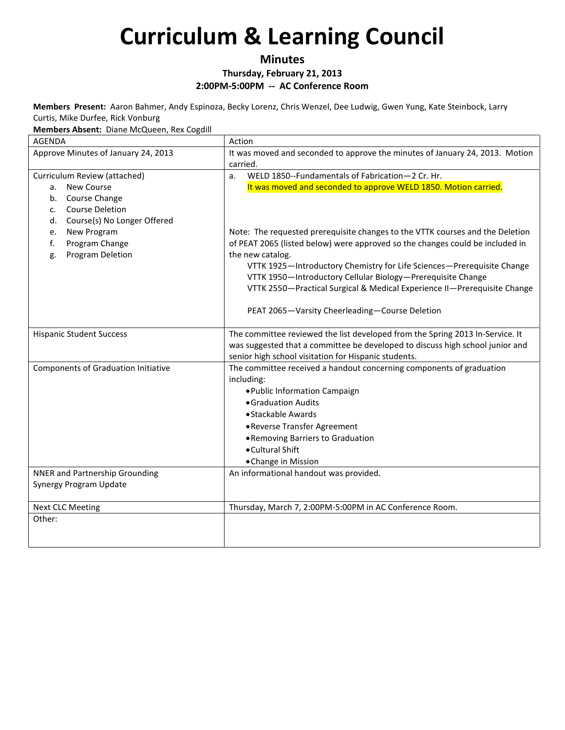### **Minutes**

**Thursday, February 21, 2013**

**2:00PM-5:00PM -- AC Conference Room**

**Members Present:** Aaron Bahmer, Andy Espinoza, Becky Lorenz, Chris Wenzel, Dee Ludwig, Gwen Yung, Kate Steinbock, Larry Curtis, Mike Durfee, Rick Vonburg

**Members Absent:** Diane McQueen, Rex Cogdill

| <b>AGENDA</b>                                                                                                | Action                                                                                                                                                                                                                                                                                                                                                                                                                                                    |
|--------------------------------------------------------------------------------------------------------------|-----------------------------------------------------------------------------------------------------------------------------------------------------------------------------------------------------------------------------------------------------------------------------------------------------------------------------------------------------------------------------------------------------------------------------------------------------------|
| Approve Minutes of January 24, 2013                                                                          | It was moved and seconded to approve the minutes of January 24, 2013. Motion<br>carried.                                                                                                                                                                                                                                                                                                                                                                  |
| Curriculum Review (attached)                                                                                 | WELD 1850--Fundamentals of Fabrication-2 Cr. Hr.<br>a.                                                                                                                                                                                                                                                                                                                                                                                                    |
| New Course<br>а.<br>Course Change<br>b.<br><b>Course Deletion</b><br>c.<br>Course(s) No Longer Offered<br>d. | It was moved and seconded to approve WELD 1850. Motion carried.                                                                                                                                                                                                                                                                                                                                                                                           |
| New Program<br>e.<br>Program Change<br>f.<br>Program Deletion<br>g.                                          | Note: The requested prerequisite changes to the VTTK courses and the Deletion<br>of PEAT 2065 (listed below) were approved so the changes could be included in<br>the new catalog.<br>VTTK 1925-Introductory Chemistry for Life Sciences-Prerequisite Change<br>VTTK 1950-Introductory Cellular Biology-Prerequisite Change<br>VTTK 2550-Practical Surgical & Medical Experience II-Prerequisite Change<br>PEAT 2065-Varsity Cheerleading-Course Deletion |
| <b>Hispanic Student Success</b>                                                                              | The committee reviewed the list developed from the Spring 2013 In-Service. It<br>was suggested that a committee be developed to discuss high school junior and<br>senior high school visitation for Hispanic students.                                                                                                                                                                                                                                    |
| <b>Components of Graduation Initiative</b>                                                                   | The committee received a handout concerning components of graduation<br>including:<br>. Public Information Campaign<br>• Graduation Audits<br>• Stackable Awards<br>• Reverse Transfer Agreement<br>• Removing Barriers to Graduation<br>• Cultural Shift<br>• Change in Mission                                                                                                                                                                          |
| <b>NNER and Partnership Grounding</b><br>Synergy Program Update                                              | An informational handout was provided.                                                                                                                                                                                                                                                                                                                                                                                                                    |
| <b>Next CLC Meeting</b>                                                                                      | Thursday, March 7, 2:00PM-5:00PM in AC Conference Room.                                                                                                                                                                                                                                                                                                                                                                                                   |
| Other:                                                                                                       |                                                                                                                                                                                                                                                                                                                                                                                                                                                           |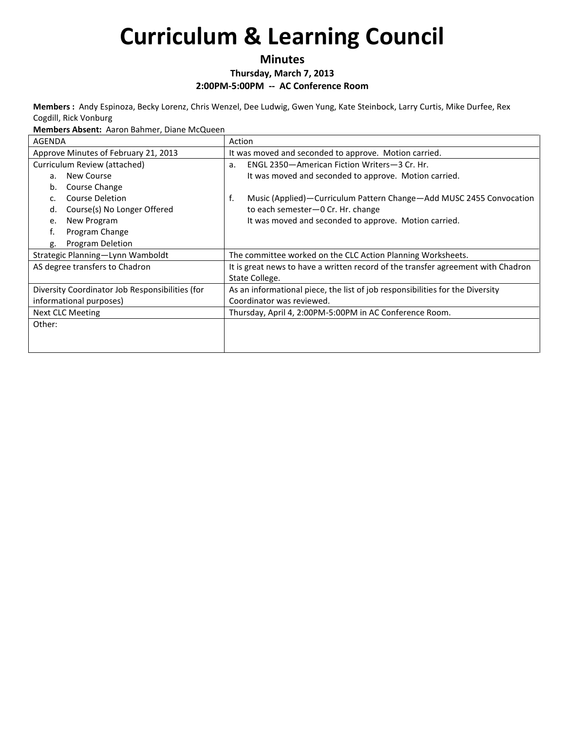### **Minutes**

### **Thursday, March 7, 2013**

**2:00PM-5:00PM -- AC Conference Room**

**Members :** Andy Espinoza, Becky Lorenz, Chris Wenzel, Dee Ludwig, Gwen Yung, Kate Steinbock, Larry Curtis, Mike Durfee, Rex Cogdill, Rick Vonburg

**Members Absent:** Aaron Bahmer, Diane McQueen

| <b>AGENDA</b>                                   | Action                                                                           |
|-------------------------------------------------|----------------------------------------------------------------------------------|
| Approve Minutes of February 21, 2013            | It was moved and seconded to approve. Motion carried.                            |
| Curriculum Review (attached)                    | ENGL 2350-American Fiction Writers-3 Cr. Hr.<br>a.                               |
| New Course<br>a.                                | It was moved and seconded to approve. Motion carried.                            |
| Course Change<br>b.                             |                                                                                  |
| Course Deletion<br>C <sub>1</sub>               | Music (Applied)—Curriculum Pattern Change—Add MUSC 2455 Convocation<br>f.        |
| Course(s) No Longer Offered<br>d.               | to each semester-0 Cr. Hr. change                                                |
| New Program<br>e.                               | It was moved and seconded to approve. Motion carried.                            |
| f.<br>Program Change                            |                                                                                  |
| <b>Program Deletion</b><br>g.                   |                                                                                  |
| Strategic Planning—Lynn Wamboldt                | The committee worked on the CLC Action Planning Worksheets.                      |
| AS degree transfers to Chadron                  | It is great news to have a written record of the transfer agreement with Chadron |
|                                                 | State College.                                                                   |
| Diversity Coordinator Job Responsibilities (for | As an informational piece, the list of job responsibilities for the Diversity    |
| informational purposes)                         | Coordinator was reviewed.                                                        |
| <b>Next CLC Meeting</b>                         | Thursday, April 4, 2:00PM-5:00PM in AC Conference Room.                          |
| Other:                                          |                                                                                  |
|                                                 |                                                                                  |
|                                                 |                                                                                  |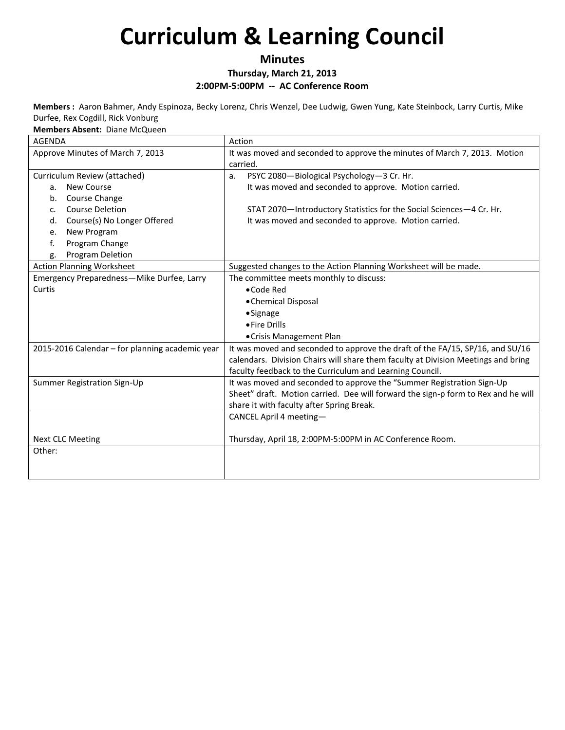### **Minutes**

**Thursday, March 21, 2013**

**2:00PM-5:00PM -- AC Conference Room**

**Members :** Aaron Bahmer, Andy Espinoza, Becky Lorenz, Chris Wenzel, Dee Ludwig, Gwen Yung, Kate Steinbock, Larry Curtis, Mike Durfee, Rex Cogdill, Rick Vonburg

**Members Absent:** Diane McQueen

| <b>AGENDA</b>                                   | Action                                                                            |
|-------------------------------------------------|-----------------------------------------------------------------------------------|
| Approve Minutes of March 7, 2013                | It was moved and seconded to approve the minutes of March 7, 2013. Motion         |
|                                                 | carried.                                                                          |
| Curriculum Review (attached)                    | PSYC 2080-Biological Psychology-3 Cr. Hr.<br>a.                                   |
| New Course<br>a.                                | It was moved and seconded to approve. Motion carried.                             |
| Course Change<br>b.                             |                                                                                   |
| <b>Course Deletion</b><br>c.                    | STAT 2070-Introductory Statistics for the Social Sciences-4 Cr. Hr.               |
| Course(s) No Longer Offered<br>d.               | It was moved and seconded to approve. Motion carried.                             |
| New Program<br>e.                               |                                                                                   |
| f.<br>Program Change                            |                                                                                   |
| Program Deletion<br>g.                          |                                                                                   |
| <b>Action Planning Worksheet</b>                | Suggested changes to the Action Planning Worksheet will be made.                  |
| Emergency Preparedness-Mike Durfee, Larry       | The committee meets monthly to discuss:                                           |
| Curtis                                          | •Code Red                                                                         |
|                                                 | • Chemical Disposal                                                               |
|                                                 | •Signage                                                                          |
|                                                 | • Fire Drills                                                                     |
|                                                 | • Crisis Management Plan                                                          |
| 2015-2016 Calendar - for planning academic year | It was moved and seconded to approve the draft of the FA/15, SP/16, and SU/16     |
|                                                 | calendars. Division Chairs will share them faculty at Division Meetings and bring |
|                                                 | faculty feedback to the Curriculum and Learning Council.                          |
| Summer Registration Sign-Up                     | It was moved and seconded to approve the "Summer Registration Sign-Up             |
|                                                 | Sheet" draft. Motion carried. Dee will forward the sign-p form to Rex and he will |
|                                                 | share it with faculty after Spring Break.                                         |
|                                                 | CANCEL April 4 meeting-                                                           |
|                                                 |                                                                                   |
| <b>Next CLC Meeting</b>                         | Thursday, April 18, 2:00PM-5:00PM in AC Conference Room.                          |
| Other:                                          |                                                                                   |
|                                                 |                                                                                   |
|                                                 |                                                                                   |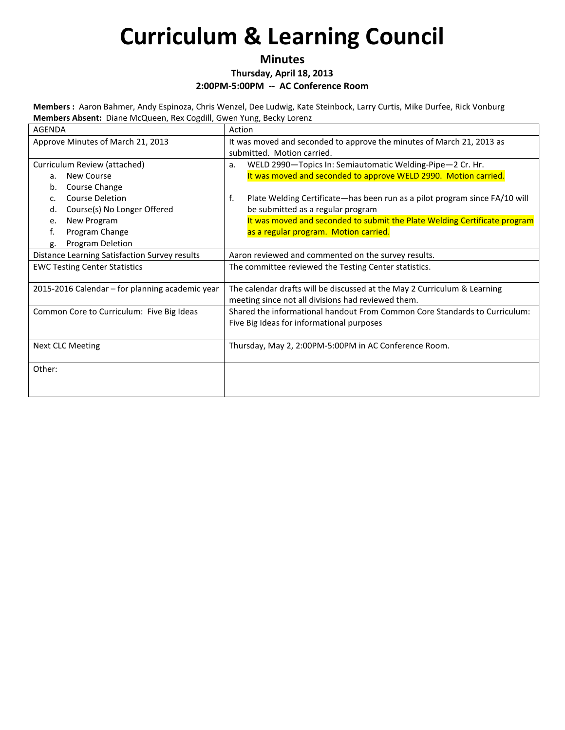### **Minutes**

**Thursday, April 18, 2013**

#### **2:00PM-5:00PM -- AC Conference Room**

**Members :** Aaron Bahmer, Andy Espinoza, Chris Wenzel, Dee Ludwig, Kate Steinbock, Larry Curtis, Mike Durfee, Rick Vonburg **Members Absent:** Diane McQueen, Rex Cogdill, Gwen Yung, Becky Lorenz

| <b>AGENDA</b>                                   | Action                                                                                                                         |
|-------------------------------------------------|--------------------------------------------------------------------------------------------------------------------------------|
| Approve Minutes of March 21, 2013               | It was moved and seconded to approve the minutes of March 21, 2013 as                                                          |
|                                                 | submitted. Motion carried.                                                                                                     |
| Curriculum Review (attached)                    | WELD 2990-Topics In: Semiautomatic Welding-Pipe-2 Cr. Hr.<br>a.                                                                |
| New Course<br>a.                                | It was moved and seconded to approve WELD 2990. Motion carried.                                                                |
| Course Change<br>b.                             |                                                                                                                                |
| <b>Course Deletion</b><br>C <sub>1</sub>        | f.<br>Plate Welding Certificate-has been run as a pilot program since FA/10 will                                               |
| Course(s) No Longer Offered<br>d.               | be submitted as a regular program                                                                                              |
| New Program<br>e.                               | It was moved and seconded to submit the Plate Welding Certificate program                                                      |
| f.<br>Program Change                            | as a regular program. Motion carried.                                                                                          |
| Program Deletion<br>g.                          |                                                                                                                                |
| Distance Learning Satisfaction Survey results   | Aaron reviewed and commented on the survey results.                                                                            |
| <b>EWC Testing Center Statistics</b>            | The committee reviewed the Testing Center statistics.                                                                          |
|                                                 |                                                                                                                                |
| 2015-2016 Calendar - for planning academic year | The calendar drafts will be discussed at the May 2 Curriculum & Learning<br>meeting since not all divisions had reviewed them. |
| Common Core to Curriculum: Five Big Ideas       | Shared the informational handout From Common Core Standards to Curriculum:                                                     |
|                                                 | Five Big Ideas for informational purposes                                                                                      |
|                                                 |                                                                                                                                |
| Next CLC Meeting                                | Thursday, May 2, 2:00PM-5:00PM in AC Conference Room.                                                                          |
| Other:                                          |                                                                                                                                |
|                                                 |                                                                                                                                |
|                                                 |                                                                                                                                |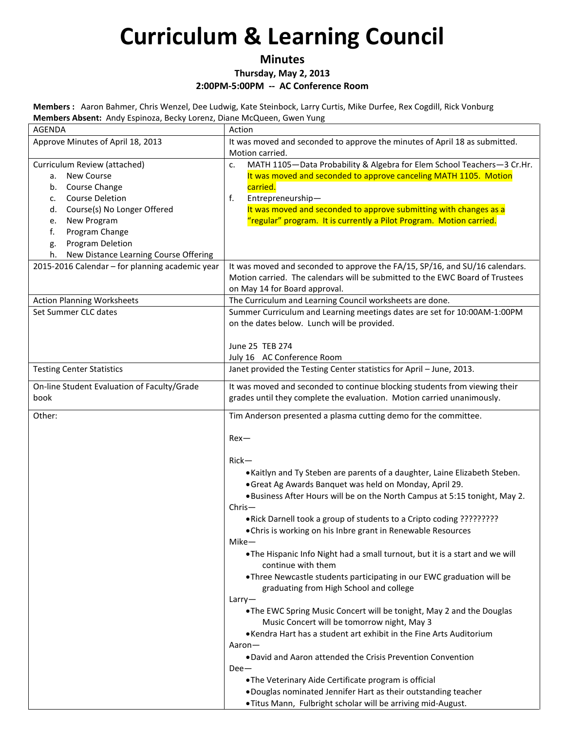### **Minutes**

**Thursday, May 2, 2013**

**2:00PM-5:00PM -- AC Conference Room**

**Members :** Aaron Bahmer, Chris Wenzel, Dee Ludwig, Kate Steinbock, Larry Curtis, Mike Durfee, Rex Cogdill, Rick Vonburg **Members Absent:** Andy Espinoza, Becky Lorenz, Diane McQueen, Gwen Yung

| AGENDA                                           | Action                                                                                                                                   |
|--------------------------------------------------|------------------------------------------------------------------------------------------------------------------------------------------|
| Approve Minutes of April 18, 2013                | It was moved and seconded to approve the minutes of April 18 as submitted.                                                               |
|                                                  | Motion carried.                                                                                                                          |
| Curriculum Review (attached)                     | MATH 1105-Data Probability & Algebra for Elem School Teachers-3 Cr.Hr.<br>c.                                                             |
| a. New Course                                    | It was moved and seconded to approve canceling MATH 1105. Motion                                                                         |
| Course Change<br>b.                              | carried.                                                                                                                                 |
| <b>Course Deletion</b><br>c.                     | Entrepreneurship-<br>f.                                                                                                                  |
| Course(s) No Longer Offered<br>d.<br>New Program | It was moved and seconded to approve submitting with changes as a<br>"regular" program. It is currently a Pilot Program. Motion carried. |
| e.<br>Program Change<br>f.                       |                                                                                                                                          |
| <b>Program Deletion</b><br>g.                    |                                                                                                                                          |
| New Distance Learning Course Offering<br>h.      |                                                                                                                                          |
| 2015-2016 Calendar - for planning academic year  | It was moved and seconded to approve the FA/15, SP/16, and SU/16 calendars.                                                              |
|                                                  | Motion carried. The calendars will be submitted to the EWC Board of Trustees                                                             |
|                                                  | on May 14 for Board approval.                                                                                                            |
| <b>Action Planning Worksheets</b>                | The Curriculum and Learning Council worksheets are done.                                                                                 |
| Set Summer CLC dates                             | Summer Curriculum and Learning meetings dates are set for 10:00AM-1:00PM                                                                 |
|                                                  | on the dates below. Lunch will be provided.                                                                                              |
|                                                  |                                                                                                                                          |
|                                                  | June 25 TEB 274                                                                                                                          |
|                                                  | July 16 AC Conference Room                                                                                                               |
| <b>Testing Center Statistics</b>                 | Janet provided the Testing Center statistics for April - June, 2013.                                                                     |
| On-line Student Evaluation of Faculty/Grade      | It was moved and seconded to continue blocking students from viewing their                                                               |
| book                                             | grades until they complete the evaluation. Motion carried unanimously.                                                                   |
| Other:                                           | Tim Anderson presented a plasma cutting demo for the committee.                                                                          |
|                                                  | $Rex-$                                                                                                                                   |
|                                                  |                                                                                                                                          |
|                                                  | $Rick-$                                                                                                                                  |
|                                                  | • Kaitlyn and Ty Steben are parents of a daughter, Laine Elizabeth Steben.                                                               |
|                                                  | • Great Ag Awards Banquet was held on Monday, April 29.                                                                                  |
|                                                  | . Business After Hours will be on the North Campus at 5:15 tonight, May 2.<br>$Christ-$                                                  |
|                                                  | . Rick Darnell took a group of students to a Cripto coding ?????????                                                                     |
|                                                  | • Chris is working on his Inbre grant in Renewable Resources                                                                             |
|                                                  | $Mike-$                                                                                                                                  |
|                                                  | . The Hispanic Info Night had a small turnout, but it is a start and we will                                                             |
|                                                  | continue with them                                                                                                                       |
|                                                  | • Three Newcastle students participating in our EWC graduation will be                                                                   |
|                                                  | graduating from High School and college                                                                                                  |
|                                                  | Larry                                                                                                                                    |
|                                                  | . The EWC Spring Music Concert will be tonight, May 2 and the Douglas<br>Music Concert will be tomorrow night, May 3                     |
|                                                  | . Kendra Hart has a student art exhibit in the Fine Arts Auditorium                                                                      |
|                                                  | Aaron-                                                                                                                                   |
|                                                  | . David and Aaron attended the Crisis Prevention Convention                                                                              |
|                                                  | $Dee-$                                                                                                                                   |
|                                                  | . The Veterinary Aide Certificate program is official                                                                                    |
|                                                  | . Douglas nominated Jennifer Hart as their outstanding teacher                                                                           |
|                                                  | .Titus Mann, Fulbright scholar will be arriving mid-August.                                                                              |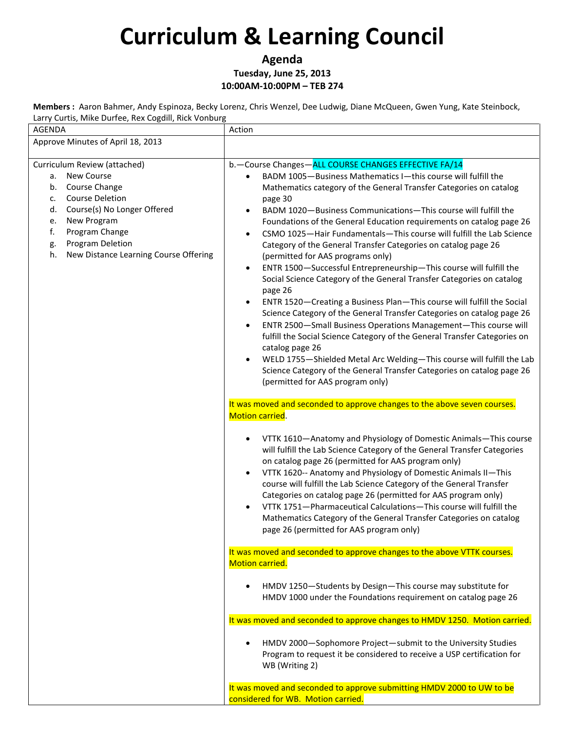**Agenda Tuesday, June 25, 2013 10:00AM-10:00PM – TEB 274**

**Members :** Aaron Bahmer, Andy Espinoza, Becky Lorenz, Chris Wenzel, Dee Ludwig, Diane McQueen, Gwen Yung, Kate Steinbock, Larry Curtis, Mike Durfee, Rex Cogdill, Rick Vonburg

| Larry Cartis, ivence Barrec, next cogam, nick vonbarg<br>AGENDA                                                                                                                                                                                                           | Action                                                                                                                                                                                                                                                                                                                                                                                                                                                                                                                                                                                                                                                                                                                                                                                                                                                                                                                                                                                                                                                                                                                                                                                                                    |
|---------------------------------------------------------------------------------------------------------------------------------------------------------------------------------------------------------------------------------------------------------------------------|---------------------------------------------------------------------------------------------------------------------------------------------------------------------------------------------------------------------------------------------------------------------------------------------------------------------------------------------------------------------------------------------------------------------------------------------------------------------------------------------------------------------------------------------------------------------------------------------------------------------------------------------------------------------------------------------------------------------------------------------------------------------------------------------------------------------------------------------------------------------------------------------------------------------------------------------------------------------------------------------------------------------------------------------------------------------------------------------------------------------------------------------------------------------------------------------------------------------------|
| Approve Minutes of April 18, 2013                                                                                                                                                                                                                                         |                                                                                                                                                                                                                                                                                                                                                                                                                                                                                                                                                                                                                                                                                                                                                                                                                                                                                                                                                                                                                                                                                                                                                                                                                           |
| Curriculum Review (attached)<br><b>New Course</b><br>а.<br>Course Change<br>b.<br><b>Course Deletion</b><br>c.<br>Course(s) No Longer Offered<br>d.<br>New Program<br>e.<br>Program Change<br>f.<br>Program Deletion<br>g.<br>New Distance Learning Course Offering<br>h. | b.-Course Changes-ALL COURSE CHANGES EFFECTIVE FA/14<br>BADM 1005-Business Mathematics I-this course will fulfill the<br>Mathematics category of the General Transfer Categories on catalog<br>page 30<br>BADM 1020-Business Communications-This course will fulfill the<br>Foundations of the General Education requirements on catalog page 26<br>CSMO 1025-Hair Fundamentals-This course will fulfill the Lab Science<br>$\bullet$<br>Category of the General Transfer Categories on catalog page 26<br>(permitted for AAS programs only)<br>ENTR 1500-Successful Entrepreneurship-This course will fulfill the<br>٠<br>Social Science Category of the General Transfer Categories on catalog<br>page 26<br>ENTR 1520-Creating a Business Plan-This course will fulfill the Social<br>Science Category of the General Transfer Categories on catalog page 26<br>ENTR 2500-Small Business Operations Management-This course will<br>fulfill the Social Science Category of the General Transfer Categories on<br>catalog page 26<br>WELD 1755-Shielded Metal Arc Welding-This course will fulfill the Lab<br>Science Category of the General Transfer Categories on catalog page 26<br>(permitted for AAS program only) |
|                                                                                                                                                                                                                                                                           | It was moved and seconded to approve changes to the above seven courses.<br><b>Motion carried.</b>                                                                                                                                                                                                                                                                                                                                                                                                                                                                                                                                                                                                                                                                                                                                                                                                                                                                                                                                                                                                                                                                                                                        |
|                                                                                                                                                                                                                                                                           | VTTK 1610-Anatomy and Physiology of Domestic Animals-This course<br>will fulfill the Lab Science Category of the General Transfer Categories<br>on catalog page 26 (permitted for AAS program only)<br>VTTK 1620-- Anatomy and Physiology of Domestic Animals II-This<br>course will fulfill the Lab Science Category of the General Transfer<br>Categories on catalog page 26 (permitted for AAS program only)<br>VTTK 1751-Pharmaceutical Calculations-This course will fulfill the<br>Mathematics Category of the General Transfer Categories on catalog<br>page 26 (permitted for AAS program only)                                                                                                                                                                                                                                                                                                                                                                                                                                                                                                                                                                                                                   |
|                                                                                                                                                                                                                                                                           | It was moved and seconded to approve changes to the above VTTK courses.<br>Motion carried.                                                                                                                                                                                                                                                                                                                                                                                                                                                                                                                                                                                                                                                                                                                                                                                                                                                                                                                                                                                                                                                                                                                                |
|                                                                                                                                                                                                                                                                           | HMDV 1250-Students by Design-This course may substitute for<br>HMDV 1000 under the Foundations requirement on catalog page 26                                                                                                                                                                                                                                                                                                                                                                                                                                                                                                                                                                                                                                                                                                                                                                                                                                                                                                                                                                                                                                                                                             |
|                                                                                                                                                                                                                                                                           | It was moved and seconded to approve changes to HMDV 1250. Motion carried.                                                                                                                                                                                                                                                                                                                                                                                                                                                                                                                                                                                                                                                                                                                                                                                                                                                                                                                                                                                                                                                                                                                                                |
|                                                                                                                                                                                                                                                                           | HMDV 2000-Sophomore Project-submit to the University Studies<br>Program to request it be considered to receive a USP certification for<br>WB (Writing 2)                                                                                                                                                                                                                                                                                                                                                                                                                                                                                                                                                                                                                                                                                                                                                                                                                                                                                                                                                                                                                                                                  |
|                                                                                                                                                                                                                                                                           | It was moved and seconded to approve submitting HMDV 2000 to UW to be<br>considered for WB. Motion carried.                                                                                                                                                                                                                                                                                                                                                                                                                                                                                                                                                                                                                                                                                                                                                                                                                                                                                                                                                                                                                                                                                                               |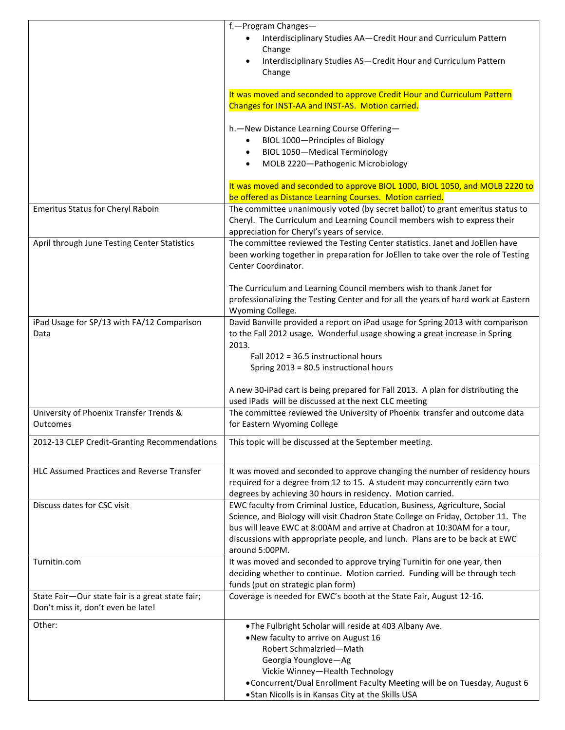|                                                                                        | f.-Program Changes-<br>Interdisciplinary Studies AA-Credit Hour and Curriculum Pattern<br>Change<br>Interdisciplinary Studies AS-Credit Hour and Curriculum Pattern<br>Change                                                                                                                                                                 |
|----------------------------------------------------------------------------------------|-----------------------------------------------------------------------------------------------------------------------------------------------------------------------------------------------------------------------------------------------------------------------------------------------------------------------------------------------|
|                                                                                        | It was moved and seconded to approve Credit Hour and Curriculum Pattern<br>Changes for INST-AA and INST-AS. Motion carried.                                                                                                                                                                                                                   |
|                                                                                        | h. - New Distance Learning Course Offering-<br>BIOL 1000-Principles of Biology<br><b>BIOL 1050-Medical Terminology</b><br>$\bullet$<br>MOLB 2220-Pathogenic Microbiology<br>$\bullet$                                                                                                                                                         |
|                                                                                        | It was moved and seconded to approve BIOL 1000, BIOL 1050, and MOLB 2220 to<br>be offered as Distance Learning Courses. Motion carried.                                                                                                                                                                                                       |
| Emeritus Status for Cheryl Raboin                                                      | The committee unanimously voted (by secret ballot) to grant emeritus status to<br>Cheryl. The Curriculum and Learning Council members wish to express their<br>appreciation for Cheryl's years of service.                                                                                                                                    |
| April through June Testing Center Statistics                                           | The committee reviewed the Testing Center statistics. Janet and JoEllen have<br>been working together in preparation for JoEllen to take over the role of Testing<br>Center Coordinator.                                                                                                                                                      |
|                                                                                        | The Curriculum and Learning Council members wish to thank Janet for<br>professionalizing the Testing Center and for all the years of hard work at Eastern<br>Wyoming College.                                                                                                                                                                 |
| iPad Usage for SP/13 with FA/12 Comparison<br>Data                                     | David Banville provided a report on iPad usage for Spring 2013 with comparison<br>to the Fall 2012 usage. Wonderful usage showing a great increase in Spring<br>2013.                                                                                                                                                                         |
|                                                                                        | Fall 2012 = 36.5 instructional hours<br>Spring 2013 = 80.5 instructional hours                                                                                                                                                                                                                                                                |
|                                                                                        | A new 30-iPad cart is being prepared for Fall 2013. A plan for distributing the<br>used iPads will be discussed at the next CLC meeting                                                                                                                                                                                                       |
| University of Phoenix Transfer Trends &<br>Outcomes                                    | The committee reviewed the University of Phoenix transfer and outcome data<br>for Eastern Wyoming College                                                                                                                                                                                                                                     |
| 2012-13 CLEP Credit-Granting Recommendations                                           | This topic will be discussed at the September meeting.                                                                                                                                                                                                                                                                                        |
| <b>HLC Assumed Practices and Reverse Transfer</b>                                      | It was moved and seconded to approve changing the number of residency hours<br>required for a degree from 12 to 15. A student may concurrently earn two<br>degrees by achieving 30 hours in residency. Motion carried.                                                                                                                        |
| Discuss dates for CSC visit                                                            | EWC faculty from Criminal Justice, Education, Business, Agriculture, Social<br>Science, and Biology will visit Chadron State College on Friday, October 11. The<br>bus will leave EWC at 8:00AM and arrive at Chadron at 10:30AM for a tour,<br>discussions with appropriate people, and lunch. Plans are to be back at EWC<br>around 5:00PM. |
| Turnitin.com                                                                           | It was moved and seconded to approve trying Turnitin for one year, then<br>deciding whether to continue. Motion carried. Funding will be through tech<br>funds (put on strategic plan form)                                                                                                                                                   |
| State Fair-Our state fair is a great state fair;<br>Don't miss it, don't even be late! | Coverage is needed for EWC's booth at the State Fair, August 12-16.                                                                                                                                                                                                                                                                           |
| Other:                                                                                 | .The Fulbright Scholar will reside at 403 Albany Ave.<br>. New faculty to arrive on August 16<br>Robert Schmalzried-Math<br>Georgia Younglove-Ag<br>Vickie Winney-Health Technology<br>. Concurrent/Dual Enrollment Faculty Meeting will be on Tuesday, August 6<br>. Stan Nicolls is in Kansas City at the Skills USA                        |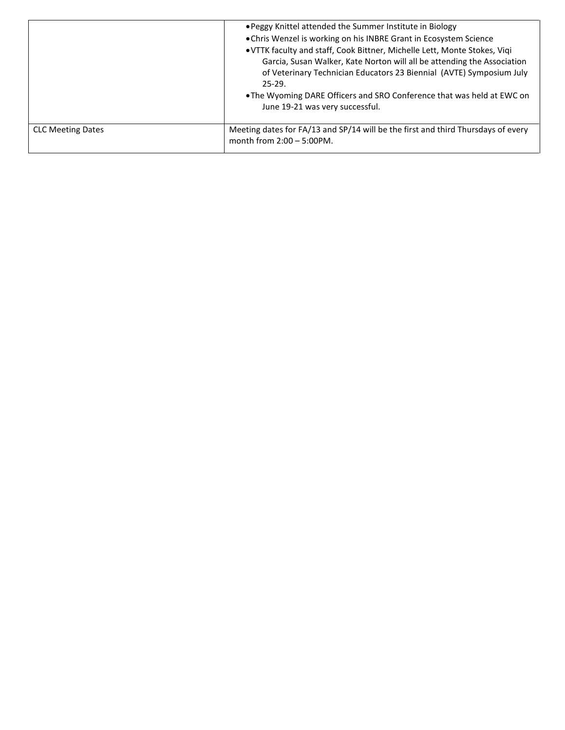|                          | . Peggy Knittel attended the Summer Institute in Biology<br>• Chris Wenzel is working on his INBRE Grant in Ecosystem Science<br>. VTTK faculty and staff, Cook Bittner, Michelle Lett, Monte Stokes, Viqi<br>Garcia, Susan Walker, Kate Norton will all be attending the Association<br>of Veterinary Technician Educators 23 Biennial (AVTE) Symposium July<br>$25-29.$<br>• The Wyoming DARE Officers and SRO Conference that was held at EWC on<br>June 19-21 was very successful. |
|--------------------------|----------------------------------------------------------------------------------------------------------------------------------------------------------------------------------------------------------------------------------------------------------------------------------------------------------------------------------------------------------------------------------------------------------------------------------------------------------------------------------------|
| <b>CLC Meeting Dates</b> | Meeting dates for FA/13 and SP/14 will be the first and third Thursdays of every<br>month from $2:00 - 5:00$ PM.                                                                                                                                                                                                                                                                                                                                                                       |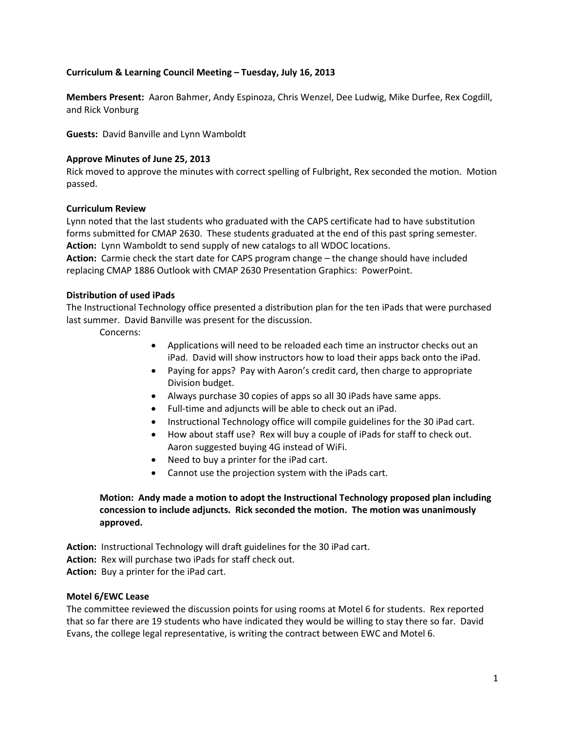#### **Curriculum & Learning Council Meeting – Tuesday, July 16, 2013**

**Members Present:** Aaron Bahmer, Andy Espinoza, Chris Wenzel, Dee Ludwig, Mike Durfee, Rex Cogdill, and Rick Vonburg

**Guests:** David Banville and Lynn Wamboldt

#### **Approve Minutes of June 25, 2013**

Rick moved to approve the minutes with correct spelling of Fulbright, Rex seconded the motion. Motion passed.

#### **Curriculum Review**

Lynn noted that the last students who graduated with the CAPS certificate had to have substitution forms submitted for CMAP 2630. These students graduated at the end of this past spring semester. **Action:** Lynn Wamboldt to send supply of new catalogs to all WDOC locations.

**Action:** Carmie check the start date for CAPS program change – the change should have included replacing CMAP 1886 Outlook with CMAP 2630 Presentation Graphics: PowerPoint.

#### **Distribution of used iPads**

The Instructional Technology office presented a distribution plan for the ten iPads that were purchased last summer. David Banville was present for the discussion.

Concerns:

- Applications will need to be reloaded each time an instructor checks out an iPad. David will show instructors how to load their apps back onto the iPad.
- Paying for apps? Pay with Aaron's credit card, then charge to appropriate Division budget.
- Always purchase 30 copies of apps so all 30 iPads have same apps.
- Full-time and adjuncts will be able to check out an iPad.
- Instructional Technology office will compile guidelines for the 30 iPad cart.
- How about staff use? Rex will buy a couple of iPads for staff to check out. Aaron suggested buying 4G instead of WiFi.
- Need to buy a printer for the iPad cart.
- Cannot use the projection system with the iPads cart.

#### **Motion: Andy made a motion to adopt the Instructional Technology proposed plan including concession to include adjuncts. Rick seconded the motion. The motion was unanimously approved.**

**Action:** Instructional Technology will draft guidelines for the 30 iPad cart.

**Action:** Rex will purchase two iPads for staff check out.

**Action:** Buy a printer for the iPad cart.

#### **Motel 6/EWC Lease**

The committee reviewed the discussion points for using rooms at Motel 6 for students. Rex reported that so far there are 19 students who have indicated they would be willing to stay there so far. David Evans, the college legal representative, is writing the contract between EWC and Motel 6.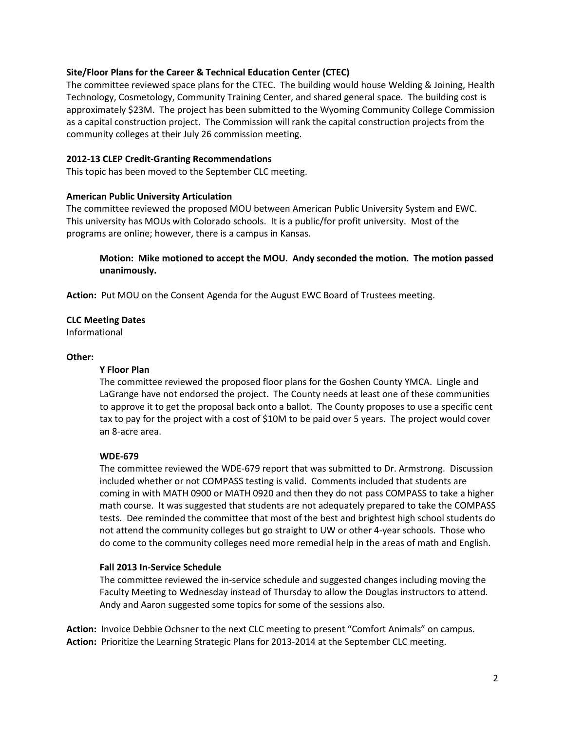#### **Site/Floor Plans for the Career & Technical Education Center (CTEC)**

The committee reviewed space plans for the CTEC. The building would house Welding & Joining, Health Technology, Cosmetology, Community Training Center, and shared general space. The building cost is approximately \$23M. The project has been submitted to the Wyoming Community College Commission as a capital construction project. The Commission will rank the capital construction projects from the community colleges at their July 26 commission meeting.

#### **2012-13 CLEP Credit-Granting Recommendations**

This topic has been moved to the September CLC meeting.

#### **American Public University Articulation**

The committee reviewed the proposed MOU between American Public University System and EWC. This university has MOUs with Colorado schools. It is a public/for profit university. Most of the programs are online; however, there is a campus in Kansas.

**Motion: Mike motioned to accept the MOU. Andy seconded the motion. The motion passed unanimously.** 

**Action:** Put MOU on the Consent Agenda for the August EWC Board of Trustees meeting.

#### **CLC Meeting Dates**

Informational

#### **Other:**

#### **Y Floor Plan**

The committee reviewed the proposed floor plans for the Goshen County YMCA. Lingle and LaGrange have not endorsed the project. The County needs at least one of these communities to approve it to get the proposal back onto a ballot. The County proposes to use a specific cent tax to pay for the project with a cost of \$10M to be paid over 5 years. The project would cover an 8-acre area.

#### **WDE-679**

The committee reviewed the WDE-679 report that was submitted to Dr. Armstrong. Discussion included whether or not COMPASS testing is valid. Comments included that students are coming in with MATH 0900 or MATH 0920 and then they do not pass COMPASS to take a higher math course. It was suggested that students are not adequately prepared to take the COMPASS tests. Dee reminded the committee that most of the best and brightest high school students do not attend the community colleges but go straight to UW or other 4-year schools. Those who do come to the community colleges need more remedial help in the areas of math and English.

#### **Fall 2013 In-Service Schedule**

The committee reviewed the in-service schedule and suggested changes including moving the Faculty Meeting to Wednesday instead of Thursday to allow the Douglas instructors to attend. Andy and Aaron suggested some topics for some of the sessions also.

**Action:** Invoice Debbie Ochsner to the next CLC meeting to present "Comfort Animals" on campus. **Action:** Prioritize the Learning Strategic Plans for 2013-2014 at the September CLC meeting.